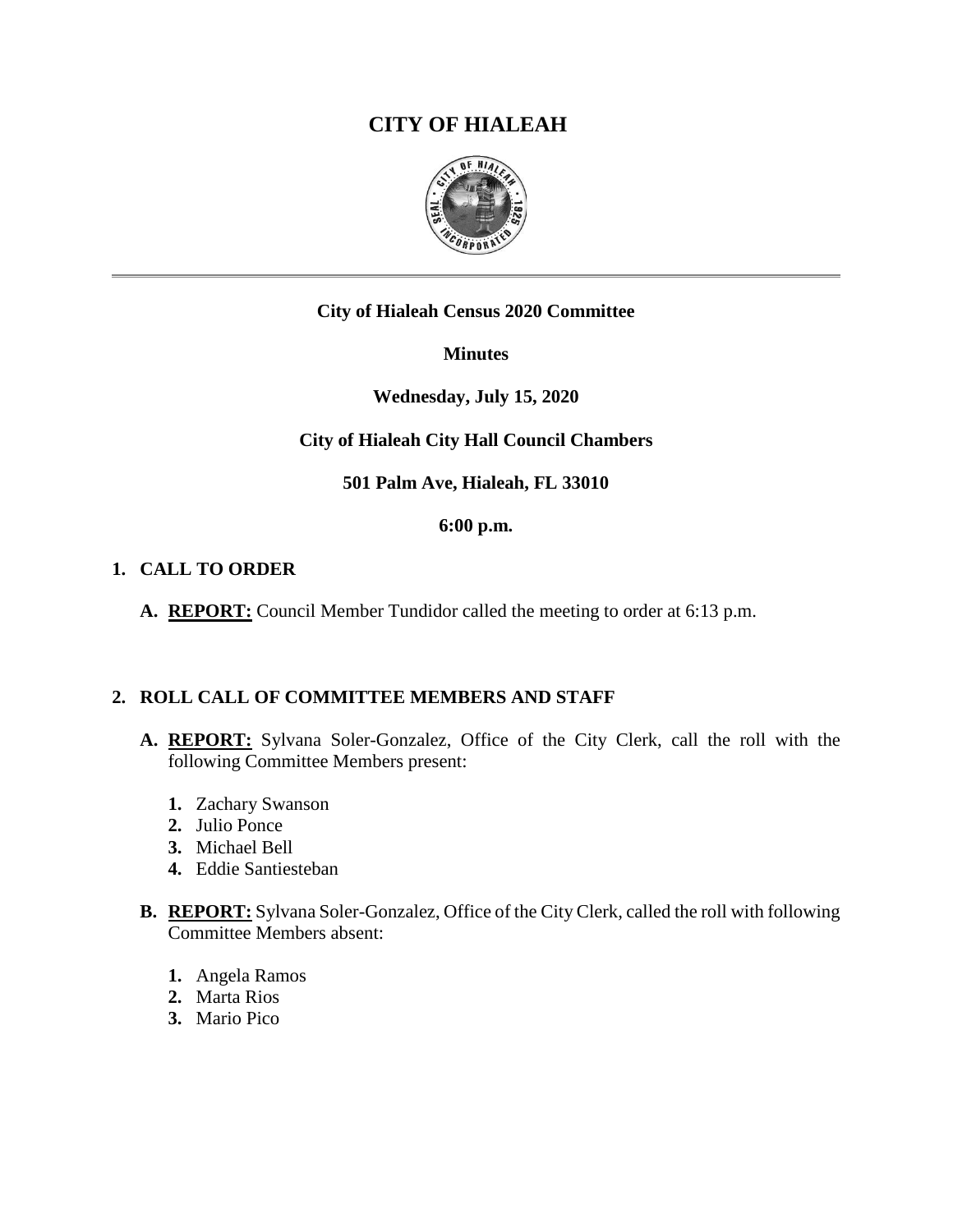# **CITY OF HIALEAH**



#### **City of Hialeah Census 2020 Committee**

**Minutes**

**Wednesday, July 15, 2020**

## **City of Hialeah City Hall Council Chambers**

#### **501 Palm Ave, Hialeah, FL 33010**

#### **6:00 p.m.**

## **1. CALL TO ORDER**

**A. REPORT:** Council Member Tundidor called the meeting to order at 6:13 p.m.

## **2. ROLL CALL OF COMMITTEE MEMBERS AND STAFF**

- **A. REPORT:** Sylvana Soler-Gonzalez, Office of the City Clerk, call the roll with the following Committee Members present:
	- **1.** Zachary Swanson
	- **2.** Julio Ponce
	- **3.** Michael Bell
	- **4.** Eddie Santiesteban
- **B. REPORT:** Sylvana Soler-Gonzalez, Office of the City Clerk, called the roll with following Committee Members absent:
	- **1.** Angela Ramos
	- **2.** Marta Rios
	- **3.** Mario Pico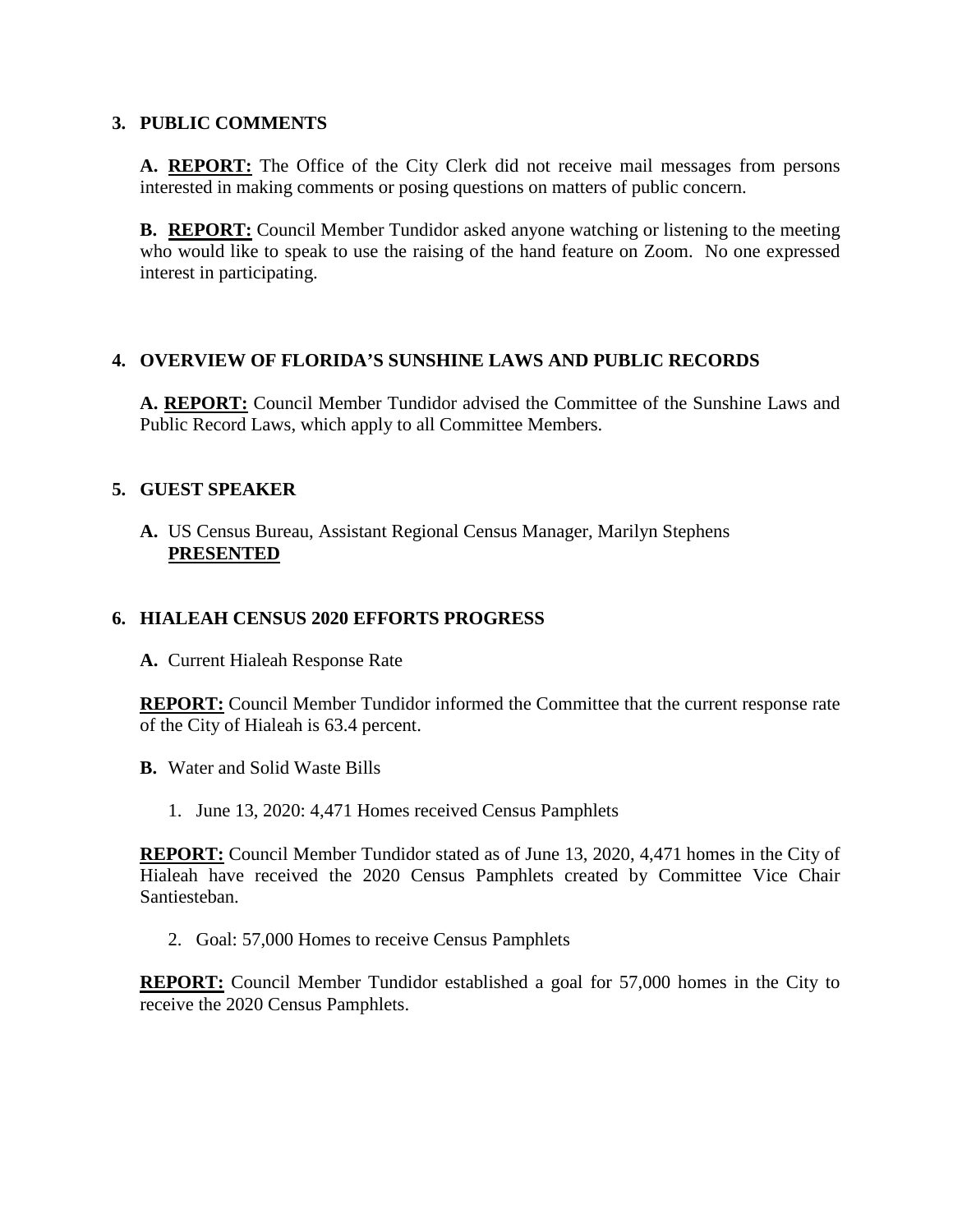#### **3. PUBLIC COMMENTS**

**A. REPORT:** The Office of the City Clerk did not receive mail messages from persons interested in making comments or posing questions on matters of public concern.

**B. REPORT:** Council Member Tundidor asked anyone watching or listening to the meeting who would like to speak to use the raising of the hand feature on Zoom. No one expressed interest in participating.

## **4. OVERVIEW OF FLORIDA'S SUNSHINE LAWS AND PUBLIC RECORDS**

**A. REPORT:** Council Member Tundidor advised the Committee of the Sunshine Laws and Public Record Laws, which apply to all Committee Members.

#### **5. GUEST SPEAKER**

**A.** US Census Bureau, Assistant Regional Census Manager, Marilyn Stephens **PRESENTED**

## **6. HIALEAH CENSUS 2020 EFFORTS PROGRESS**

**A.** Current Hialeah Response Rate

**REPORT:** Council Member Tundidor informed the Committee that the current response rate of the City of Hialeah is 63.4 percent.

- **B.** Water and Solid Waste Bills
	- 1. June 13, 2020: 4,471 Homes received Census Pamphlets

**REPORT:** Council Member Tundidor stated as of June 13, 2020, 4,471 homes in the City of Hialeah have received the 2020 Census Pamphlets created by Committee Vice Chair Santiesteban.

2. Goal: 57,000 Homes to receive Census Pamphlets

**REPORT:** Council Member Tundidor established a goal for 57,000 homes in the City to receive the 2020 Census Pamphlets.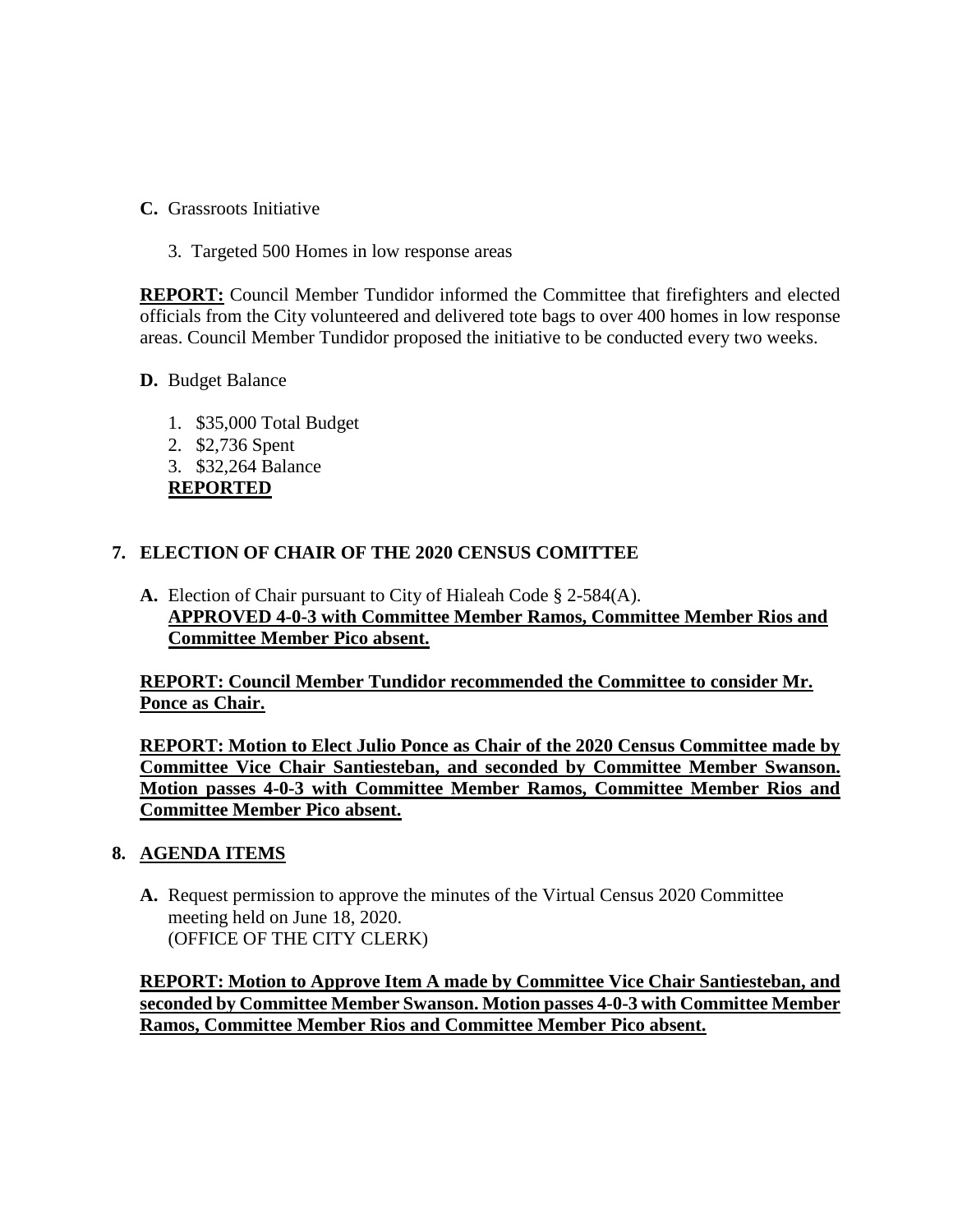- **C.** Grassroots Initiative
	- 3. Targeted 500 Homes in low response areas

**REPORT:** Council Member Tundidor informed the Committee that firefighters and elected officials from the City volunteered and delivered tote bags to over 400 homes in low response areas. Council Member Tundidor proposed the initiative to be conducted every two weeks.

- **D.** Budget Balance
	- 1. \$35,000 Total Budget 2. \$2,736 Spent 3. \$32,264 Balance

#### **REPORTED**

## **7. ELECTION OF CHAIR OF THE 2020 CENSUS COMITTEE**

**A.** Election of Chair pursuant to City of Hialeah Code § 2-584(A). **APPROVED 4-0-3 with Committee Member Ramos, Committee Member Rios and Committee Member Pico absent.**

**REPORT: Council Member Tundidor recommended the Committee to consider Mr. Ponce as Chair.**

**REPORT: Motion to Elect Julio Ponce as Chair of the 2020 Census Committee made by Committee Vice Chair Santiesteban, and seconded by Committee Member Swanson. Motion passes 4-0-3 with Committee Member Ramos, Committee Member Rios and Committee Member Pico absent.**

## **8. AGENDA ITEMS**

**A.** Request permission to approve the minutes of the Virtual Census 2020 Committee meeting held on June 18, 2020. (OFFICE OF THE CITY CLERK)

**REPORT: Motion to Approve Item A made by Committee Vice Chair Santiesteban, and seconded by Committee Member Swanson. Motion passes 4-0-3 with Committee Member Ramos, Committee Member Rios and Committee Member Pico absent.**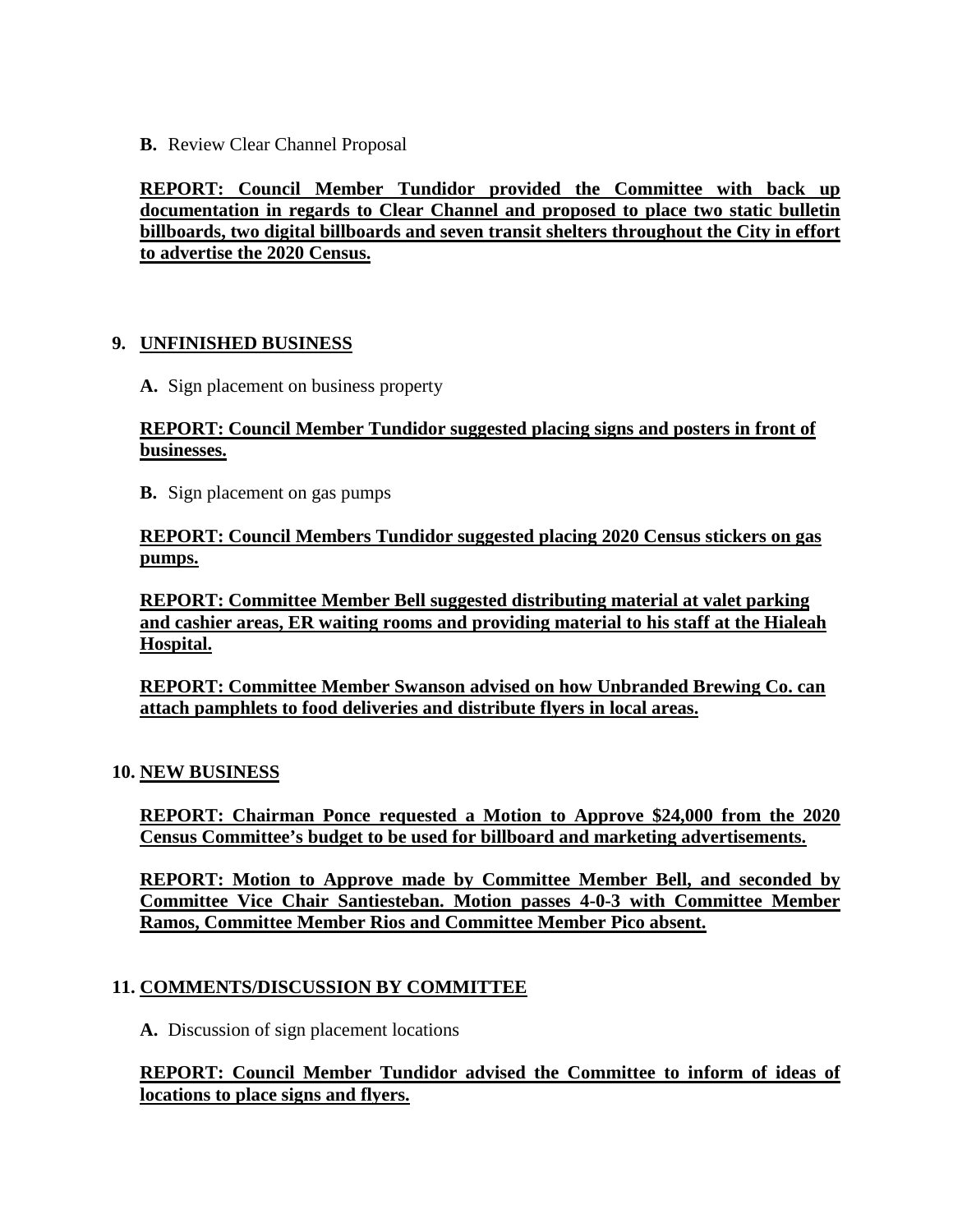**B.** Review Clear Channel Proposal

**REPORT: Council Member Tundidor provided the Committee with back up documentation in regards to Clear Channel and proposed to place two static bulletin billboards, two digital billboards and seven transit shelters throughout the City in effort to advertise the 2020 Census.**

#### **9. UNFINISHED BUSINESS**

**A.** Sign placement on business property

## **REPORT: Council Member Tundidor suggested placing signs and posters in front of businesses.**

**B.** Sign placement on gas pumps

## **REPORT: Council Members Tundidor suggested placing 2020 Census stickers on gas pumps.**

**REPORT: Committee Member Bell suggested distributing material at valet parking and cashier areas, ER waiting rooms and providing material to his staff at the Hialeah Hospital.** 

**REPORT: Committee Member Swanson advised on how Unbranded Brewing Co. can attach pamphlets to food deliveries and distribute flyers in local areas.** 

#### **10. NEW BUSINESS**

**REPORT: Chairman Ponce requested a Motion to Approve \$24,000 from the 2020 Census Committee's budget to be used for billboard and marketing advertisements.**

**REPORT: Motion to Approve made by Committee Member Bell, and seconded by Committee Vice Chair Santiesteban. Motion passes 4-0-3 with Committee Member Ramos, Committee Member Rios and Committee Member Pico absent.**

## **11. COMMENTS/DISCUSSION BY COMMITTEE**

**A.** Discussion of sign placement locations

#### **REPORT: Council Member Tundidor advised the Committee to inform of ideas of locations to place signs and flyers.**